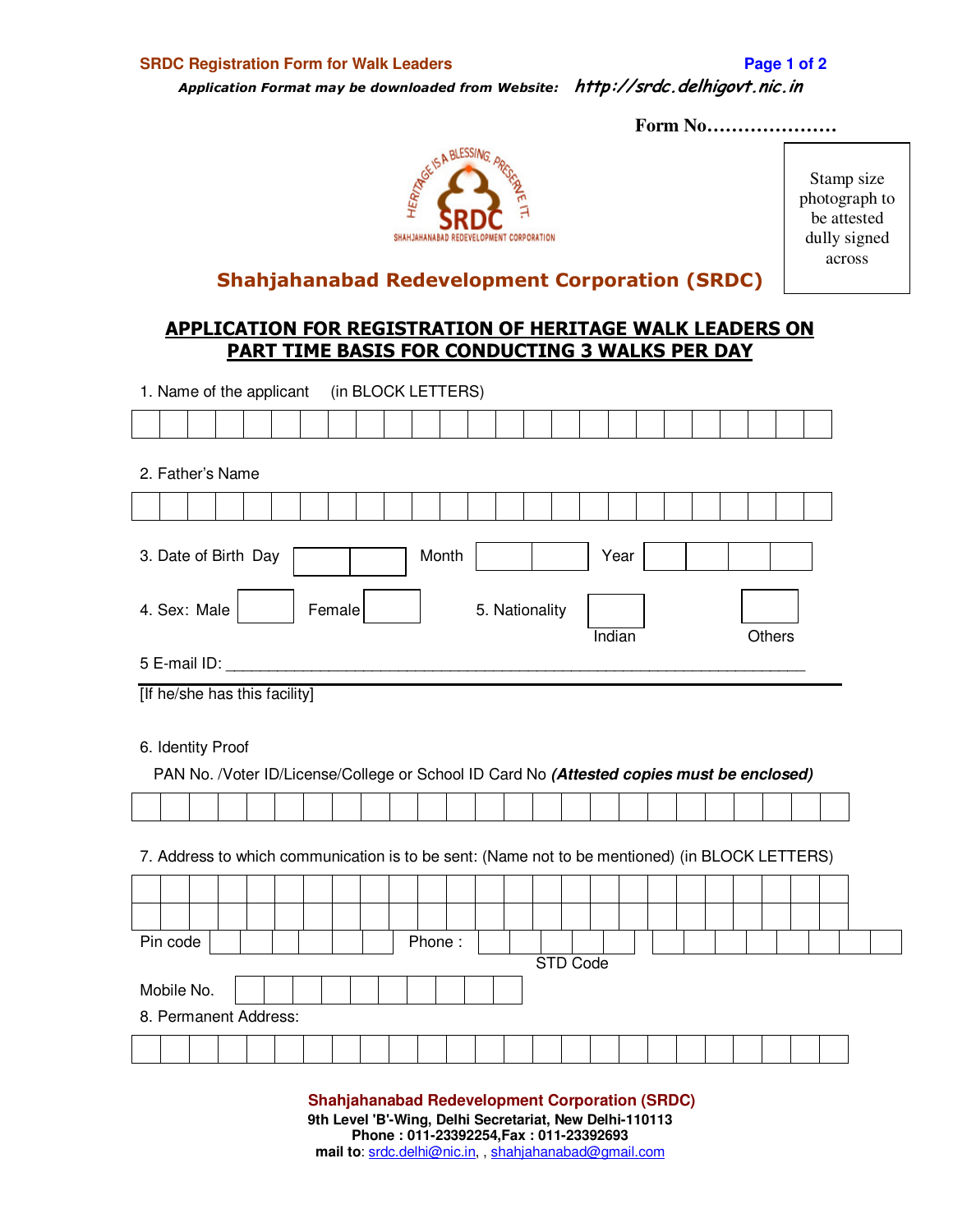*Application Format may be downloaded from Website:* **http://srdc.delhigovt.nic.in** 

 **Form No…………………**



Stamp size photograph to be attested dully signed across

## **Shahjahanabad Redevelopment Corporation (SRDC)**

## **APPLICATION FOR REGISTRATION OF HERITAGE WALK LEADERS ON PART TIME BASIS FOR CONDUCTING 3 WALKS PER DAY**

| 1. Name of the applicant                                                                                       |  |  |  |  |  |  |        | (in BLOCK LETTERS) |  |                 |      |  |  |  |  |
|----------------------------------------------------------------------------------------------------------------|--|--|--|--|--|--|--------|--------------------|--|-----------------|------|--|--|--|--|
|                                                                                                                |  |  |  |  |  |  |        |                    |  |                 |      |  |  |  |  |
| 2. Father's Name                                                                                               |  |  |  |  |  |  |        |                    |  |                 |      |  |  |  |  |
|                                                                                                                |  |  |  |  |  |  |        |                    |  |                 |      |  |  |  |  |
| 3. Date of Birth Day                                                                                           |  |  |  |  |  |  | Month  |                    |  |                 | Year |  |  |  |  |
| 4. Sex: Male<br>Female<br>5. Nationality<br>Others<br>Indian                                                   |  |  |  |  |  |  |        |                    |  |                 |      |  |  |  |  |
|                                                                                                                |  |  |  |  |  |  |        |                    |  |                 |      |  |  |  |  |
| [If he/she has this facility]                                                                                  |  |  |  |  |  |  |        |                    |  |                 |      |  |  |  |  |
| 6. Identity Proof<br>PAN No. /Voter ID/License/College or School ID Card No (Attested copies must be enclosed) |  |  |  |  |  |  |        |                    |  |                 |      |  |  |  |  |
| 7. Address to which communication is to be sent: (Name not to be mentioned) (in BLOCK LETTERS)                 |  |  |  |  |  |  |        |                    |  |                 |      |  |  |  |  |
|                                                                                                                |  |  |  |  |  |  |        |                    |  |                 |      |  |  |  |  |
|                                                                                                                |  |  |  |  |  |  |        |                    |  |                 |      |  |  |  |  |
| Pin code                                                                                                       |  |  |  |  |  |  | Phone: |                    |  | <b>STD Code</b> |      |  |  |  |  |
|                                                                                                                |  |  |  |  |  |  |        |                    |  |                 |      |  |  |  |  |
| Mobile No.                                                                                                     |  |  |  |  |  |  |        |                    |  |                 |      |  |  |  |  |
| 8. Permanent Address:                                                                                          |  |  |  |  |  |  |        |                    |  |                 |      |  |  |  |  |

**9th Level 'B'-Wing, Delhi Secretariat, New Delhi-110113 Phone : 011-23392254,Fax : 011-23392693 mail to**: srdc.delhi@nic.in, , shahjahanabad@gmail.com **Shahjahanabad Redevelopment Corporation (SRDC)**